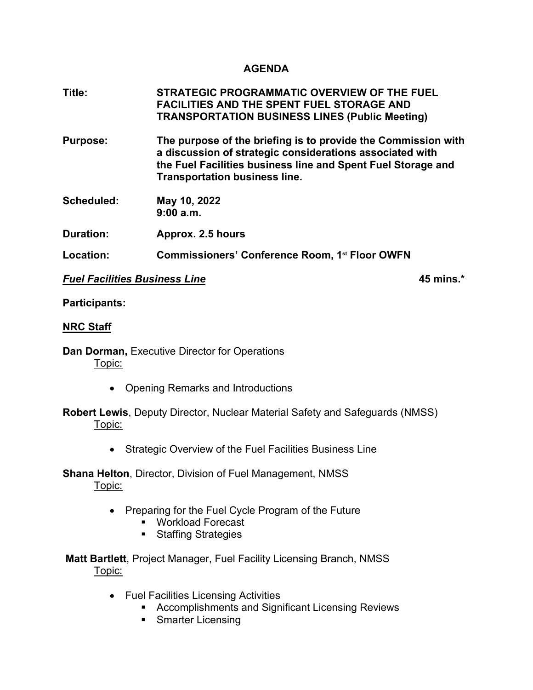## **AGENDA**

| Title:           | STRATEGIC PROGRAMMATIC OVERVIEW OF THE FUEL<br><b>FACILITIES AND THE SPENT FUEL STORAGE AND</b><br><b>TRANSPORTATION BUSINESS LINES (Public Meeting)</b>                                                                          |
|------------------|-----------------------------------------------------------------------------------------------------------------------------------------------------------------------------------------------------------------------------------|
| <b>Purpose:</b>  | The purpose of the briefing is to provide the Commission with<br>a discussion of strategic considerations associated with<br>the Fuel Facilities business line and Spent Fuel Storage and<br><b>Transportation business line.</b> |
| Scheduled:       | May 10, 2022<br>9:00a.m.                                                                                                                                                                                                          |
| <b>Duration:</b> | Approx. 2.5 hours                                                                                                                                                                                                                 |
| Location:        | Commissioners' Conference Room, 1 <sup>st</sup> Floor OWFN                                                                                                                                                                        |

## *Fuel Facilities Business Line* **45 mins.\***

#### **Participants:**

#### **NRC Staff**

**Dan Dorman,** Executive Director for Operations Topic:

• Opening Remarks and Introductions

## **Robert Lewis**, Deputy Director, Nuclear Material Safety and Safeguards (NMSS) Topic:

• Strategic Overview of the Fuel Facilities Business Line

**Shana Helton**, Director, Division of Fuel Management, NMSS Topic:

- Preparing for the Fuel Cycle Program of the Future
	- Workload Forecast
	- **Staffing Strategies**

**Matt Bartlett**, Project Manager, Fuel Facility Licensing Branch, NMSS Topic:

- Fuel Facilities Licensing Activities
	- **EXECOMPLES AND ACCOMPLISHMENT ACCOMPLISHMENT AND ACCOMPLISHMENT ACCOMPLISHMENT ACCOMPLISHMENT ACCOMPLISHMENT ACCOMPLISHMENT ACCOMPLISHMENT ACCOMPLISHMENT ACCOMPLISHMENT ACCOMPLISHMENT ACCOMPLISHMENT ACCOMPLISHMENT ACCOMPL**
	- **Smarter Licensing**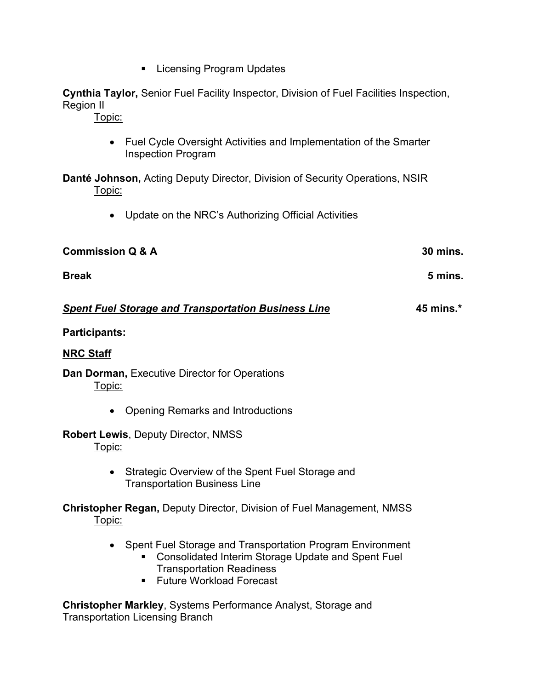**Licensing Program Updates** 

**Cynthia Taylor,** Senior Fuel Facility Inspector, Division of Fuel Facilities Inspection, Region II

Topic:

• Fuel Cycle Oversight Activities and Implementation of the Smarter Inspection Program

**Danté Johnson,** Acting Deputy Director, Division of Security Operations, NSIR Topic:

• Update on the NRC's Authorizing Official Activities

| <b>Commission Q &amp; A</b> | <b>30 mins.</b> |
|-----------------------------|-----------------|
| <b>Break</b>                | 5 mins.         |
|                             |                 |

# *Spent Fuel Storage and Transportation Business Line* **45 mins.\***

# **Participants:**

# **NRC Staff**

**Dan Dorman,** Executive Director for Operations Topic:

• Opening Remarks and Introductions

# **Robert Lewis**, Deputy Director, NMSS Topic:

• Strategic Overview of the Spent Fuel Storage and Transportation Business Line

**Christopher Regan,** Deputy Director, Division of Fuel Management, NMSS Topic:

- Spent Fuel Storage and Transportation Program Environment
	- **EXECONSOL** Consolidated Interim Storage Update and Spent Fuel Transportation Readiness
	- Future Workload Forecast

**Christopher Markley**, Systems Performance Analyst, Storage and Transportation Licensing Branch